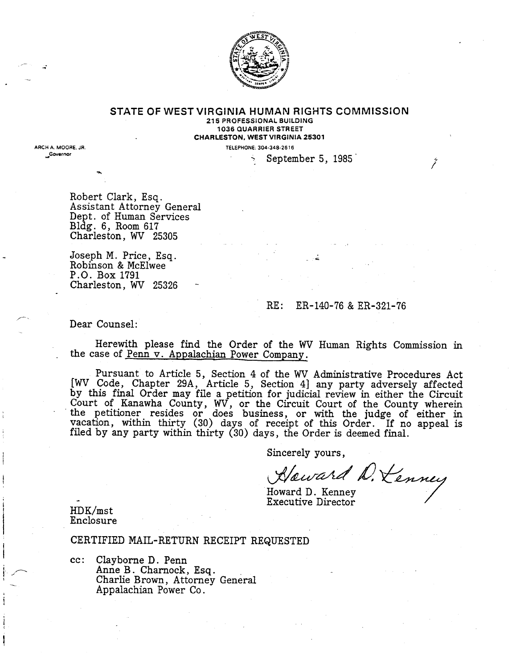

#### **STATE OF WEST VIRGINIA HUMAN RIGHTS COMMISSION** 215 PROFESSIONAL BUILDING 1036 QUARRIER STREET

CHARLESTON. WEST VIRGINIA 25301 TELEPHONE: 304-348-2616

September 5, 1985

ARCH A. MOORE. JR. **\_Governor**

> Robert Clark, Esq. Assistant Attorney General Dept. of Human Services Bldg. 6, Room 617 Charleston, WV 25305

Joseph M. Price, Esq. Robinson & McElwee P.O. Box 1791 Charleston, WV 25326

#### $RE:$ ER-140-76 & ER-321-76

Dear Counsel:

Herewith please find the Order of the WV Human Rights Commission in the case of Penn v. Appalachian Power Company.

Pursuant to Article 5, Section 4 of the WV Administrative Procedures Act [WV Code, Chapter 29A, Article 5, Section 4] any party adversely affecte by this final Order may file a petition for judicial review in either the Circui Court of Kanawha County, WV, or the Circuit Court of the County wherein . the petitioner resides or does business, or with the judge of either in vacation, within thirty (30) days of receipt of this Order. If no appeal is filed by any party within thirty (30) days, the Order is deemed final.

Sincerely yours,

*\$£urw1d' f)* rt-'~

Howard D. Kenney / Executive Director

HDK/mst Enclosure

CERTIFIED MAIL-RETURN RECEIPT REQUESTED

cc: Clayborne D. Penn Anne B. Charnock, Esq. . Charlie Brown, Attorney General Appalachian Power Co.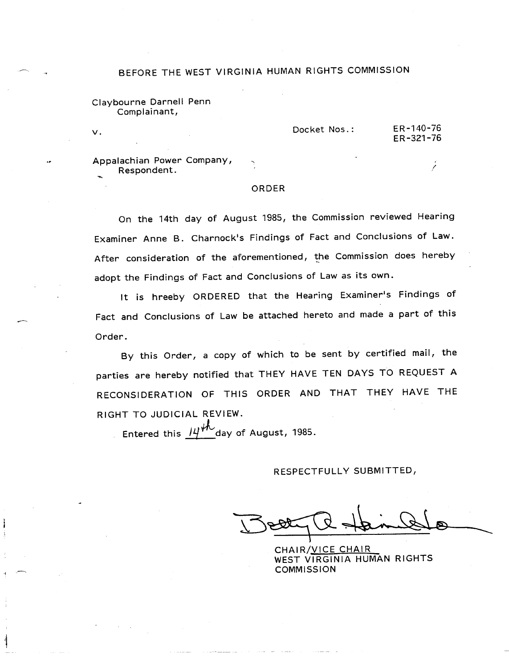# BEFORE THE WEST VIRGINIA HUMAN RIGHTS COMMISSION

#### Claybourne Darnell Penn Complainant,

 $\vee$ .

Docket Nos.:

ER-140-76 ER-321-76

Appalachian Power Company, Respondent.

#### ORDER

On the 14th day of August 1985, the Commission reviewed Hearing Examiner Anne B. Charnock's Findings of Fact and Conclusions of Law. After consideration of the aforementioned, the Commission does hereby adopt the Findings of Fact and Conclusions of Law as its own.

It is hreeby ORDERED that the Hearing Examiner's Findings of Fact and Conclusions of Law be attached hereto and made a part of this Order.

By this Order, a copy of which to be sent by certified mail, the parties are hereby notified that THEY HAVE TEN DAYS TO REQUEST A RECONSIDERATION OF THIS ORDER AND THAT THEY HAVE THE RIGHT TO JUDICIAL REVIEW.

Entered this  $14^{44}$  day of August, 1985.

#### RESPECTFULLY SUBMITTED,

Beat a Heimello

CHAIR/VICE CHAIR WEST VIRGINIA HUMAN RIGHTS **COMMISSION**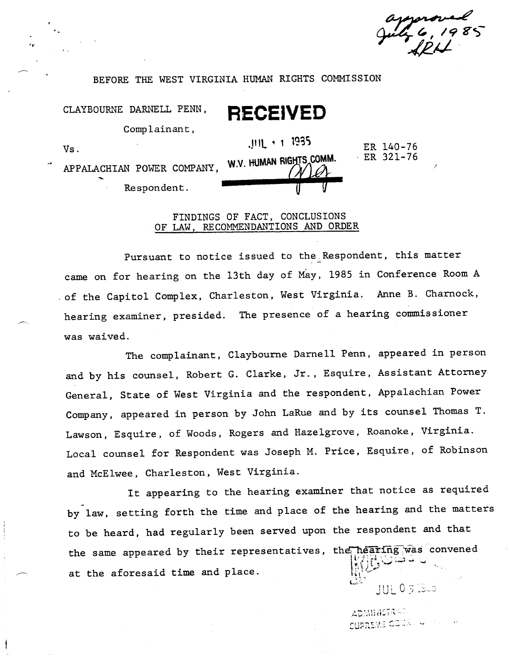BEFORE THE WEST VIRGINIA HUMAN RIGHTS COMMISSION

CLAYBOURNE DARNELL PENN, **RECEIVED**

Complainant,

**VS.**<br>VS.<br>APPATAGUITAN POINT COLOUSE WAY HUMAN RIGHTS COMM.

ER 140-70<br>ER 221 76 ER 321-76

 $APPALACHIAN$   $POWER$   $COMPANY$ . Respondent.

### FINDINGS OF FACT, CONCLUSIONS OF LAW, RECOMMENDANTIONS AND ORDER

Pursuant to notice issued to the Respondent, this matter came on for hearing on the 13th day of May, 1985 in Conference Room A .of the Capitol Complex, Charleston, West Virginia, Anne B. Charnock, hearing examiner, presided. The presence of a hearing commissioner was waived.

The complainant, Claybourne Darnell Penn, appeared in person and by his counsel, Robert G. Clarke, Jr., Esquire, Assistant Attorney General, State of West Virginia and the respondent, Appalachian Power Company, appeared in person by John LaRue and by its counsel Thomas T. Lawson, Esquire, of Woods, Rogers and Hazelgrove, Roanoke, Virginia. Local counsel for Respondent was Joseph M. Price, Esquire, of Robinson and McElwee, Charleston, West Virginia.

It appearing to the hearing examiner that notice as required by law, setting forth the time and place of the hearing and the matters to be heard, had regularly been served upon the respondent and thatthe same appeared by their representatives, the hearing was convened at the aforesaid time and place.

> ADMHASTA AT CUPREME COURT U

[U] 0 3 1950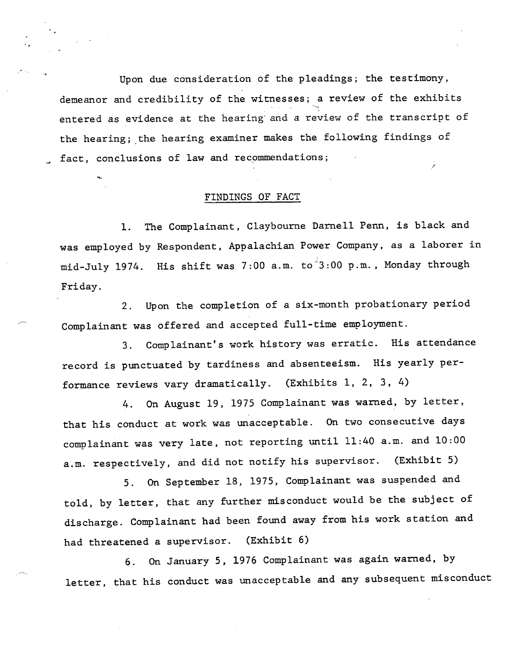Upon due consideration of the pleadings; the testimony, demeanor and credibility of the witnesses; a review of the exhibits entered as evidence at the hearing and a review of the transcript of the hearing; the hearing examiner makes the following findings of fact, conclusions of law and recommendations;

## FINDINGS OF FACT

1. The Complainant, Claybourne Darnell Penn, is black and was employed by Respondent, Appalachian Power Company, as a laborer in mid-July 1974. His shift was 7:00 a.m. to 3:00 p.m., Monday through Friday.

2. Upon the completion of a six-month probationary period Complainant was offered and accepted full-time employment.

3. Complainant's work history was erratic. His attendance record is punctuated by tardiness and absenteeism. His yearly performance reviews vary dramatically. (Exhibits 1, 2, 3, 4)

4. On August 19, 1975 Complainant was warned, by letter, that his conduct at work was unacceptable. On two consecutive days complainant was very late, not reporting until 11:40 a.m. and 10:00 a.m. respectively, and did not notify his supervisor. (Exhibit 5)

5. On September 18, 1975, Complainant was suspended and told, by letter, that any further misconduct would be the subject of discharge. Complainant had been found away from his work station and had threatened a supervisor. (Exhibit 6)

6. On January 5, 1976 Complainant was again warned, by letter, that his conduct was unacceptable and any subsequent misconduct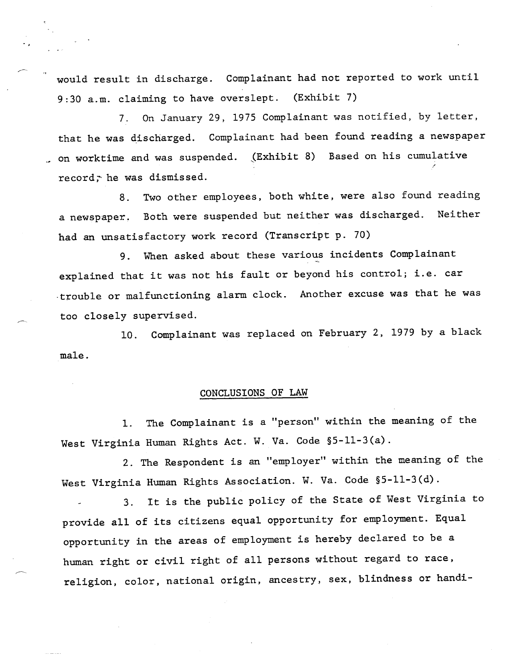would result in discharge. Complainant had not reported to work until 9:30 a.m. claiming to have overslept. (Exhibit 7)

7. On January 29, 1975 Complainant was notified, by letter, that he was discharged. Complainant had been found reading a newspaper . on worktime and was suspended. (Exhibit 8) Based on his cumulative record. he was dismissed.

8. Two other employees, both white, were also found reading a newspaper. Both were suspended but neither was discharged. Neither had an unsatisfactory work record (Transcript p. 70)

9. When asked about these various incidents Complainant explained that it was not his fault or beyond his control; i.e. car -trouble or malfunctioning alarm clock. Another excuse was that he was too closely supervised.

Complainant was replaced on February 2, 1979 by a black  $10.$ male.

### CONCLUSIONS OF LAW

The Complainant is a "person" within the meaning of the  $1.$ West Virginia Human Rights Act. W. Va. Code §5-11-3(a).

2. The Respondent is an "employer" within the meaning of the West Virginia Human Rights Association. W. Va. Code §5-ll-3(d).

3. It is the public policy of the State of West Virginia to provide all of its citizens equal opportunity for employment. Equal opportunity in the areas of employment is hereby declared to be a human right or civil right of all persons without regard to race, religion, color, national origin, ancestry, sex, blindness or handi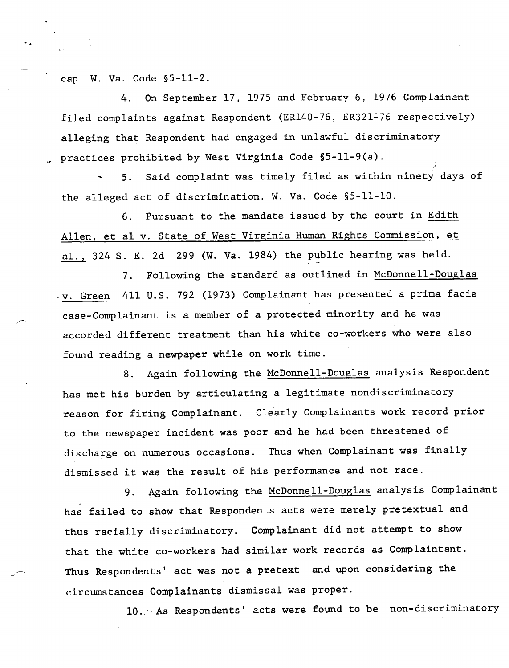cap. W. Va. Code §5-ll-2.

4. On September 17, 1975 and February 6, 1976 Complainant filed complaints against Respondent (ER140-76, ER321-76 respectively) alleging that Respondent had engaged in unlawful discriminatory practices prohibited by West Virginia Code §5-11-9(a).

5. Said complaint was timely filed as within ninety days of the alleged act of discrimination. W. Va. Code §5-ll-l0.

6. Pursuant to the mandate issued by the court in Edith Allen, et al v. State of West Virginia Human Rights Commission, et al., 324 S. E. 2d 299 (W. Va. 1984) the public hearing was held.

7. Following the standard as outlined in McDonnell-Douglas ·v. Green 411 u.S. 792 (1973) Complainant has presented a prima facie case-Complainant is a member of a protected minority and he was accorded different treatment than his white co-workers who were also found reading a newpaper while on work time.

8. Again following the McDonnell-Douglas analysis Respondent has met his burden by articulating a legitimate nondiscriminatory reason for firing Complainant. Clearly Complainants work record prior to the newspaper incident was poor and he had been threatened of discharge on numerous occasions. Thus when Complainant was finally dismissed it was the result of his performance and not race.

9. Again following the McDonnell-Douglas analysis Complainant has failed to show that Respondents acts were merely pretextual and thus racially discriminatory. Complainant did not attempt to show that the white co-workers had similar work records as Complaintant. Thus Respondents: act was not a pretext and upon considering the circumstances Complainants dismissal was proper.

10 ..',As Respondents' acts were found to be non-discriminatory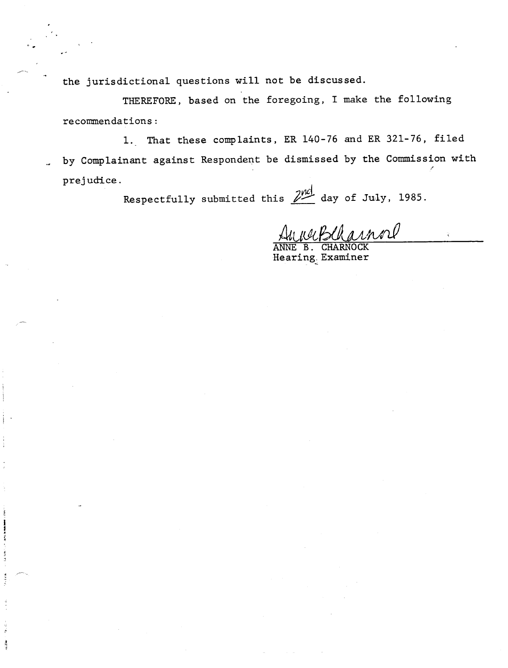the jurisdictional questions will not be discussed.

**THE REAL PART OF** 

in each

ð.

THEREFORE, based on the foregoing, I make the following recommendations:

1. That these complaints, ER 140-76 and ER 321-76, filed by Complainant against Respondent be dismissed by the Commission with prejudice.

Respectfully submitted this  $\frac{2M}{2}$  day of July, 1985.

*4tlttkWv1J1/IlA'LP*

ANNE B. CHARNOCK Hearing Examiner